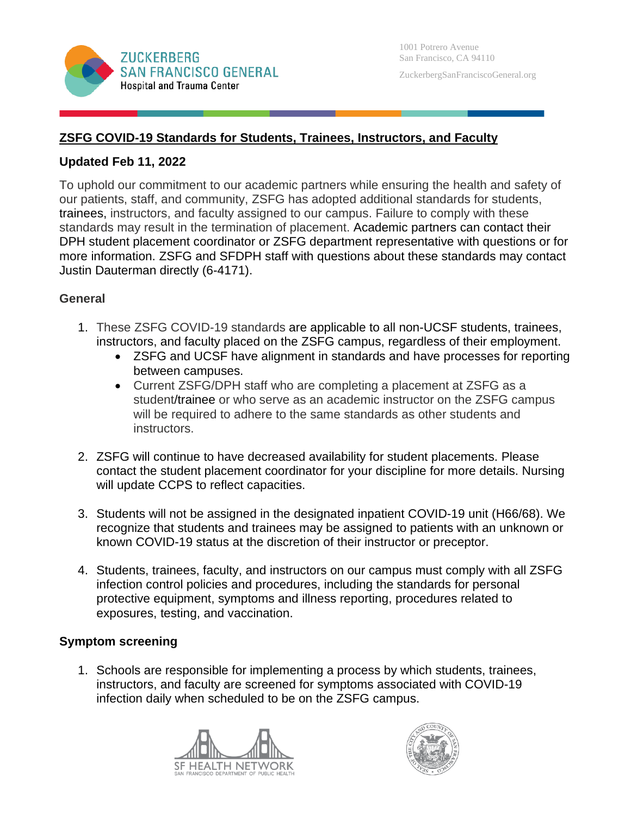

# **ZSFG COVID-19 Standards for Students, Trainees, Instructors, and Faculty**

### **Updated Feb 11, 2022**

To uphold our commitment to our academic partners while ensuring the health and safety of our patients, staff, and community, ZSFG has adopted additional standards for students, trainees, instructors, and faculty assigned to our campus. Failure to comply with these standards may result in the termination of placement. Academic partners can contact their DPH student placement coordinator or ZSFG department representative with questions or for more information. ZSFG and SFDPH staff with questions about these standards may contact Justin Dauterman directly (6-4171).

### **General**

- 1. These ZSFG COVID-19 standards are applicable to all non-UCSF students, trainees, instructors, and faculty placed on the ZSFG campus, regardless of their employment.
	- ZSFG and UCSF have alignment in standards and have processes for reporting between campuses.
	- Current ZSFG/DPH staff who are completing a placement at ZSFG as a student/trainee or who serve as an academic instructor on the ZSFG campus will be required to adhere to the same standards as other students and instructors.
- 2. ZSFG will continue to have decreased availability for student placements. Please contact the student placement coordinator for your discipline for more details. Nursing will update CCPS to reflect capacities.
- 3. Students will not be assigned in the designated inpatient COVID-19 unit (H66/68). We recognize that students and trainees may be assigned to patients with an unknown or known COVID-19 status at the discretion of their instructor or preceptor.
- 4. Students, trainees, faculty, and instructors on our campus must comply with all ZSFG infection control policies and procedures, including the standards for personal protective equipment, symptoms and illness reporting, procedures related to exposures, testing, and vaccination.

#### **Symptom screening**

1. Schools are responsible for implementing a process by which students, trainees, instructors, and faculty are screened for symptoms associated with COVID-19 infection daily when scheduled to be on the ZSFG campus.